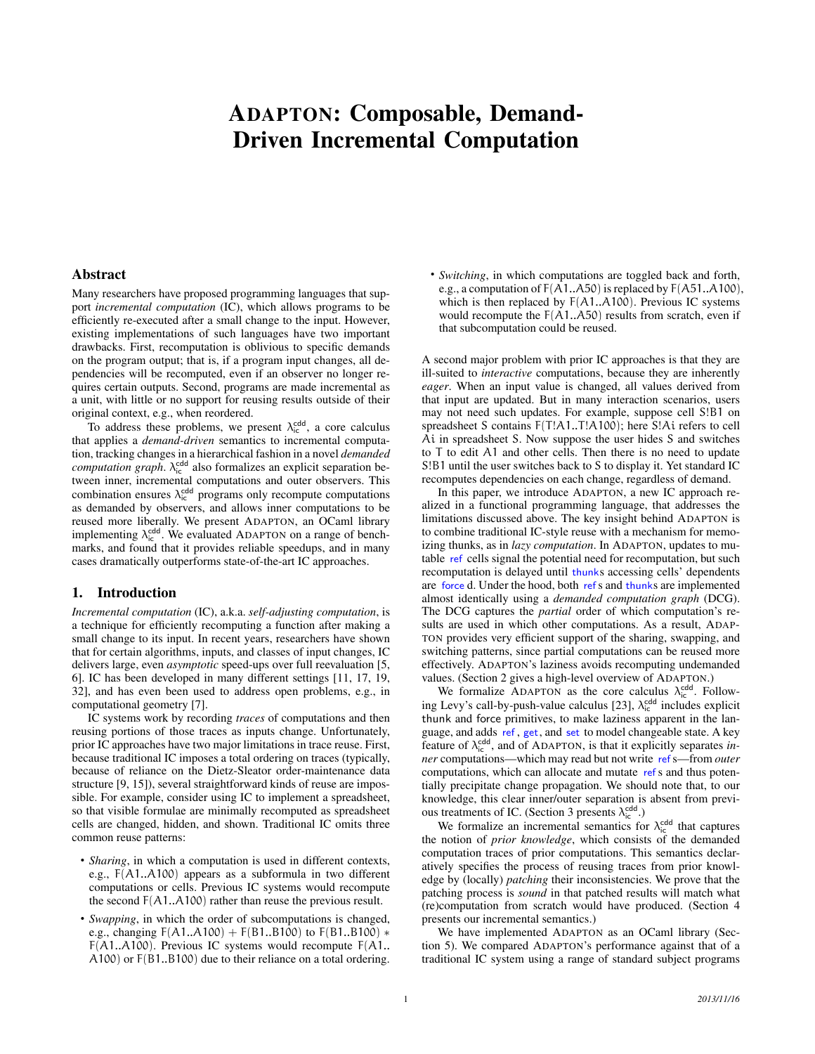# ADAPTON: Composable, Demand-Driven Incremental Computation

## Abstract

Many researchers have proposed programming languages that support *incremental computation* (IC), which allows programs to be efficiently re-executed after a small change to the input. However, existing implementations of such languages have two important drawbacks. First, recomputation is oblivious to specific demands on the program output; that is, if a program input changes, all dependencies will be recomputed, even if an observer no longer requires certain outputs. Second, programs are made incremental as a unit, with little or no support for reusing results outside of their original context, e.g., when reordered.

To address these problems, we present  $\lambda_{\rm ic}^{\rm cdd}$ , a core calculus that applies a *demand-driven* semantics to incremental computation, tracking changes in a hierarchical fashion in a novel *demanded*  $computation graph$ .  $\lambda_{ic}^{cdd}$  also formalizes an explicit separation between inner, incremental computations and outer observers. This combination ensures  $\lambda_{\text{ic}}^{\text{cdd}}$  programs only recompute computations as demanded by observers, and allows inner computations to be reused more liberally. We present ADAPTON, an OCaml library implementing  $\lambda_{ic}^{\text{cdd}}$ . We evaluated ADAPTON on a range of benchmarks, and found that it provides reliable speedups, and in many cases dramatically outperforms state-of-the-art IC approaches.

# 1. Introduction

*Incremental computation* (IC), a.k.a. *self-adjusting computation*, is a technique for efficiently recomputing a function after making a small change to its input. In recent years, researchers have shown that for certain algorithms, inputs, and classes of input changes, IC delivers large, even *asymptotic* speed-ups over full reevaluation [5, 6]. IC has been developed in many different settings [11, 17, 19, 32], and has even been used to address open problems, e.g., in computational geometry [7].

IC systems work by recording *traces* of computations and then reusing portions of those traces as inputs change. Unfortunately, prior IC approaches have two major limitations in trace reuse. First, because traditional IC imposes a total ordering on traces (typically, because of reliance on the Dietz-Sleator order-maintenance data structure [9, 15]), several straightforward kinds of reuse are impossible. For example, consider using IC to implement a spreadsheet, so that visible formulae are minimally recomputed as spreadsheet cells are changed, hidden, and shown. Traditional IC omits three common reuse patterns:

- *Sharing*, in which a computation is used in different contexts, e.g., F(A1..A100) appears as a subformula in two different computations or cells. Previous IC systems would recompute the second  $F(A1..A100)$  rather than reuse the previous result.
- *Swapping*, in which the order of subcomputations is changed, e.g., changing  $F(A1..A100) + F(B1..B100)$  to  $F(B1..B100)$  \* F(A1..A100). Previous IC systems would recompute F(A1.. A100) or F(B1..B100) due to their reliance on a total ordering.

• *Switching*, in which computations are toggled back and forth, e.g., a computation of  $F(A1..A50)$  is replaced by  $F(A51..A100)$ , which is then replaced by F(A1..A100). Previous IC systems would recompute the  $F(A1..A50)$  results from scratch, even if that subcomputation could be reused.

A second major problem with prior IC approaches is that they are ill-suited to *interactive* computations, because they are inherently *eager*. When an input value is changed, all values derived from that input are updated. But in many interaction scenarios, users may not need such updates. For example, suppose cell S!B1 on spreadsheet S contains F(T!A1..T!A100); here S!Ai refers to cell Ai in spreadsheet S. Now suppose the user hides S and switches to T to edit A1 and other cells. Then there is no need to update S!B1 until the user switches back to S to display it. Yet standard IC recomputes dependencies on each change, regardless of demand.

In this paper, we introduce ADAPTON, a new IC approach realized in a functional programming language, that addresses the limitations discussed above. The key insight behind ADAPTON is to combine traditional IC-style reuse with a mechanism for memoizing thunks, as in *lazy computation*. In ADAPTON, updates to mutable ref cells signal the potential need for recomputation, but such recomputation is delayed until thunks accessing cells' dependents are force d. Under the hood, both refs and thunks are implemented almost identically using a *demanded computation graph* (DCG). The DCG captures the *partial* order of which computation's results are used in which other computations. As a result, ADAP-TON provides very efficient support of the sharing, swapping, and switching patterns, since partial computations can be reused more effectively. ADAPTON's laziness avoids recomputing undemanded values. (Section 2 gives a high-level overview of ADAPTON.)

We formalize ADAPTON as the core calculus  $\lambda_{\text{ic}}^{\text{cdd}}$ . Following Levy's call-by-push-value calculus [23],  $\lambda_{ic}^{cdd}$  includes explicit thunk and force primitives, to make laziness apparent in the language, and adds ref , get, and set to model changeable state. A key feature of  $\lambda_{\rm ic}^{\rm cdd}$ , and of ADAPTON, is that it explicitly separates *inner* computations—which may read but not write refs—from *outer* computations, which can allocate and mutate ref s and thus potentially precipitate change propagation. We should note that, to our knowledge, this clear inner/outer separation is absent from previous treatments of IC. (Section 3 presents  $\lambda_{\rm ic}^{\rm cdd}$ .)

We formalize an incremental semantics for  $\lambda_{\rm ic}^{\rm cdd}$  that captures the notion of *prior knowledge*, which consists of the demanded computation traces of prior computations. This semantics declaratively specifies the process of reusing traces from prior knowledge by (locally) *patching* their inconsistencies. We prove that the patching process is *sound* in that patched results will match what (re)computation from scratch would have produced. (Section 4 presents our incremental semantics.)

We have implemented ADAPTON as an OCaml library (Section 5). We compared ADAPTON's performance against that of a traditional IC system using a range of standard subject programs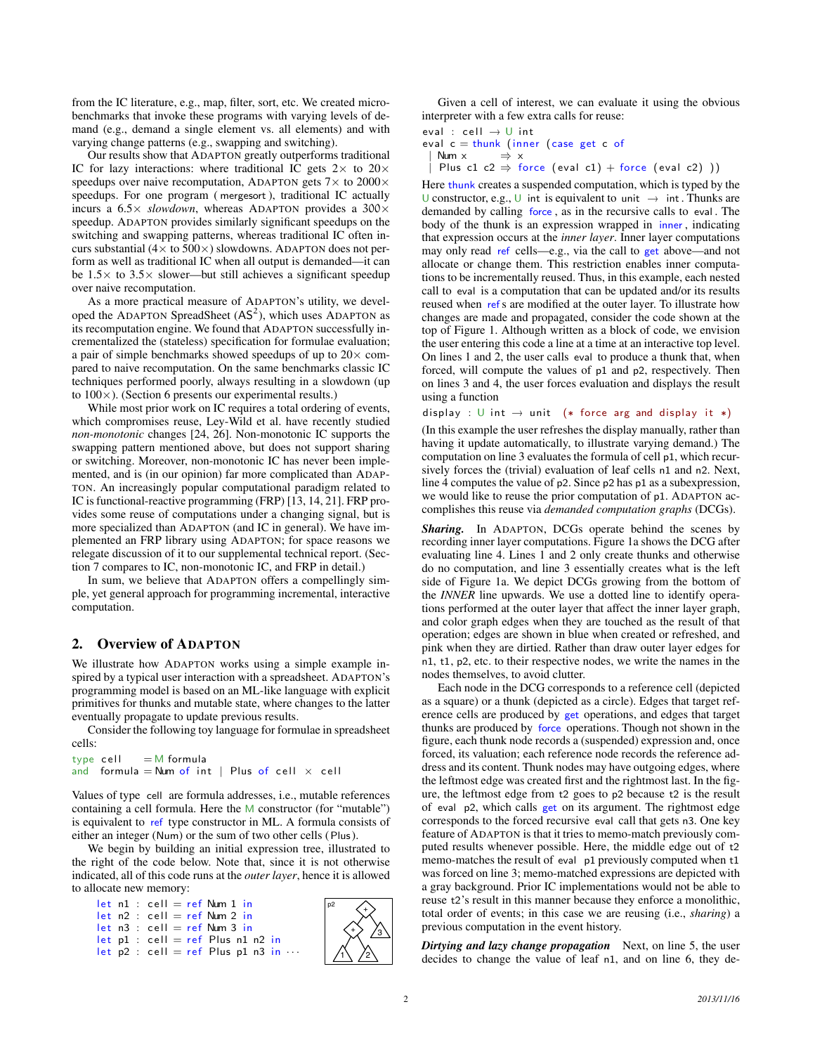from the IC literature, e.g., map, filter, sort, etc. We created microbenchmarks that invoke these programs with varying levels of demand (e.g., demand a single element vs. all elements) and with varying change patterns (e.g., swapping and switching).

Our results show that ADAPTON greatly outperforms traditional IC for lazy interactions: where traditional IC gets  $2 \times$  to  $20 \times$ speedups over naive recomputation, ADAPTON gets  $7\times$  to  $2000\times$ speedups. For one program ( mergesort ), traditional IC actually incurs a 6.5× *slowdown*, whereas ADAPTON provides a 300× speedup. ADAPTON provides similarly significant speedups on the switching and swapping patterns, whereas traditional IC often incurs substantial ( $4\times$  to  $500\times$ ) slowdowns. ADAPTON does not perform as well as traditional IC when all output is demanded—it can be  $1.5\times$  to  $3.5\times$  slower—but still achieves a significant speedup over naive recomputation.

As a more practical measure of ADAPTON's utility, we developed the ADAPTON SpreadSheet  $(AS^2)$ , which uses ADAPTON as its recomputation engine. We found that ADAPTON successfully incrementalized the (stateless) specification for formulae evaluation; a pair of simple benchmarks showed speedups of up to  $20 \times$  compared to naive recomputation. On the same benchmarks classic IC techniques performed poorly, always resulting in a slowdown (up to  $100 \times$ ). (Section 6 presents our experimental results.)

While most prior work on IC requires a total ordering of events, which compromises reuse, Ley-Wild et al. have recently studied *non-monotonic* changes [24, 26]. Non-monotonic IC supports the swapping pattern mentioned above, but does not support sharing or switching. Moreover, non-monotonic IC has never been implemented, and is (in our opinion) far more complicated than ADAP-TON. An increasingly popular computational paradigm related to IC is functional-reactive programming (FRP) [13, 14, 21]. FRP provides some reuse of computations under a changing signal, but is more specialized than ADAPTON (and IC in general). We have implemented an FRP library using ADAPTON; for space reasons we relegate discussion of it to our supplemental technical report. (Section 7 compares to IC, non-monotonic IC, and FRP in detail.)

In sum, we believe that ADAPTON offers a compellingly simple, yet general approach for programming incremental, interactive computation.

# 2. Overview of ADAPTON

We illustrate how ADAPTON works using a simple example inspired by a typical user interaction with a spreadsheet. ADAPTON's programming model is based on an ML-like language with explicit primitives for thunks and mutable state, where changes to the latter eventually propagate to update previous results.

Consider the following toy language for formulae in spreadsheet cells:

```
type cell = M formula
and formula = Num of int | Plus of cell \times cell
```
Values of type cell are formula addresses, i.e., mutable references containing a cell formula. Here the M constructor (for "mutable") is equivalent to ref type constructor in ML. A formula consists of either an integer (Num) or the sum of two other cells (Plus ).

We begin by building an initial expression tree, illustrated to the right of the code below. Note that, since it is not otherwise indicated, all of this code runs at the *outer layer*, hence it is allowed to allocate new memory:

```
let n1 : cell = ref Num 1 inlet n2 : cell = ref Num 2 inlet n3 : cell = ref Num 3 inlet p1 : cell = ref Plus n1 n2 in
let p2 : cell = ref Plus p1 n3 in \cdotsp2
```


Given a cell of interest, we can evaluate it using the obvious interpreter with a few extra calls for reuse:

```
eval : cell \rightarrow U int
```

```
eval c = thunk (inner (case get c of
  \parallel Num \times \Rightarrow \times
```
| Plus c1 c2  $\Rightarrow$  force (eval c1) + force (eval c2))

Here thunk creates a suspended computation, which is typed by the U constructor, e.g., U int is equivalent to unit  $\rightarrow$  int. Thunks are demanded by calling force , as in the recursive calls to eval . The body of the thunk is an expression wrapped in inner , indicating that expression occurs at the *inner layer*. Inner layer computations may only read ref cells—e.g., via the call to get above—and not allocate or change them. This restriction enables inner computations to be incrementally reused. Thus, in this example, each nested call to eval is a computation that can be updated and/or its results reused when refs are modified at the outer layer. To illustrate how changes are made and propagated, consider the code shown at the top of Figure 1. Although written as a block of code, we envision the user entering this code a line at a time at an interactive top level. On lines 1 and 2, the user calls eval to produce a thunk that, when forced, will compute the values of p1 and p2, respectively. Then on lines 3 and 4, the user forces evaluation and displays the result using a function

```
display : U int \rightarrow unit (* force arg and display it *)
```
(In this example the user refreshes the display manually, rather than having it update automatically, to illustrate varying demand.) The computation on line 3 evaluates the formula of cell p1, which recursively forces the (trivial) evaluation of leaf cells n1 and n2. Next, line 4 computes the value of p2. Since p2 has p1 as a subexpression, we would like to reuse the prior computation of p1. ADAPTON accomplishes this reuse via *demanded computation graphs* (DCGs).

*Sharing.* In ADAPTON, DCGs operate behind the scenes by recording inner layer computations. Figure 1a shows the DCG after evaluating line 4. Lines 1 and 2 only create thunks and otherwise do no computation, and line 3 essentially creates what is the left side of Figure 1a. We depict DCGs growing from the bottom of the *INNER* line upwards. We use a dotted line to identify operations performed at the outer layer that affect the inner layer graph, and color graph edges when they are touched as the result of that operation; edges are shown in blue when created or refreshed, and pink when they are dirtied. Rather than draw outer layer edges for n1, t1, p2, etc. to their respective nodes, we write the names in the nodes themselves, to avoid clutter.

Each node in the DCG corresponds to a reference cell (depicted as a square) or a thunk (depicted as a circle). Edges that target reference cells are produced by get operations, and edges that target thunks are produced by force operations. Though not shown in the figure, each thunk node records a (suspended) expression and, once forced, its valuation; each reference node records the reference address and its content. Thunk nodes may have outgoing edges, where the leftmost edge was created first and the rightmost last. In the figure, the leftmost edge from t2 goes to p2 because t2 is the result of eval p2, which calls get on its argument. The rightmost edge corresponds to the forced recursive eval call that gets n3. One key feature of ADAPTON is that it tries to memo-match previously computed results whenever possible. Here, the middle edge out of t2 memo-matches the result of eval p1 previously computed when t1 was forced on line 3; memo-matched expressions are depicted with a gray background. Prior IC implementations would not be able to reuse t2's result in this manner because they enforce a monolithic, total order of events; in this case we are reusing (i.e., *sharing*) a previous computation in the event history.

*Dirtying and lazy change propagation* Next, on line 5, the user decides to change the value of leaf n1, and on line 6, they de-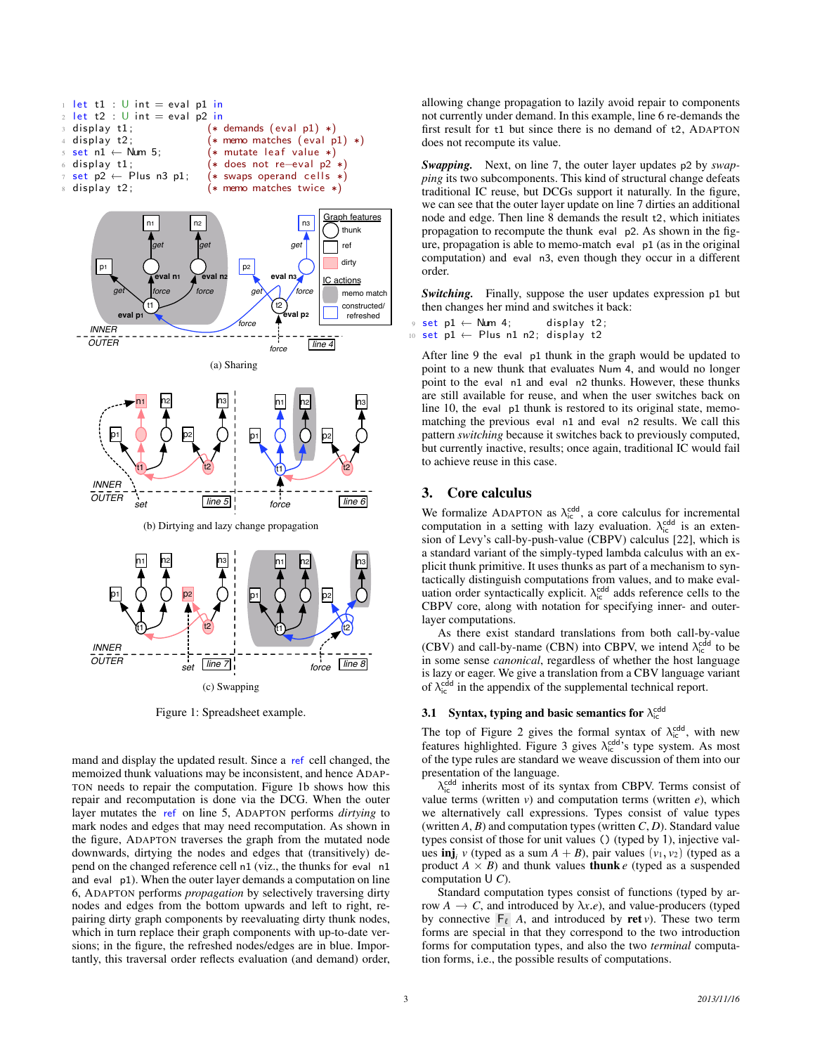

dirty



Figure 1: Spreadsheet example.

mand and display the updated result. Since a ref cell changed, the memoized thunk valuations may be inconsistent, and hence ADAP-TON needs to repair the computation. Figure 1b shows how this repair and recomputation is done via the DCG. When the outer layer mutates the ref on line 5, ADAPTON performs *dirtying* to mark nodes and edges that may need recomputation. As shown in the figure, ADAPTON traverses the graph from the mutated node downwards, dirtying the nodes and edges that (transitively) depend on the changed reference cell n1 (viz., the thunks for eval n1 and eval p1). When the outer layer demands a computation on line 6, ADAPTON performs *propagation* by selectively traversing dirty nodes and edges from the bottom upwards and left to right, repairing dirty graph components by reevaluating dirty thunk nodes, which in turn replace their graph components with up-to-date versions; in the figure, the refreshed nodes/edges are in blue. Importantly, this traversal order reflects evaluation (and demand) order,

allowing change propagation to lazily avoid repair to components not currently under demand. In this example, line 6 re-demands the first result for t1 but since there is no demand of t2, ADAPTON does not recompute its value.

*Swapping.* Next, on line 7, the outer layer updates p2 by *swapping* its two subcomponents. This kind of structural change defeats traditional IC reuse, but DCGs support it naturally. In the figure, we can see that the outer layer update on line 7 dirties an additional node and edge. Then line 8 demands the result t2, which initiates propagation to recompute the thunk eval p2. As shown in the figure, propagation is able to memo-match eval p1 (as in the original computation) and eval n3, even though they occur in a different order.

*Switching.* Finally, suppose the user updates expression p1 but then changes her mind and switches it back:

 $9$  set p1  $\leftarrow$  Num 4; display t2;

10 set  $p1 \leftarrow$  Plus n1 n2; display t2

After line 9 the eval p1 thunk in the graph would be updated to point to a new thunk that evaluates Num 4, and would no longer point to the eval n1 and eval n2 thunks. However, these thunks are still available for reuse, and when the user switches back on line 10, the eval p1 thunk is restored to its original state, memomatching the previous eval n1 and eval n2 results. We call this pattern *switching* because it switches back to previously computed, but currently inactive, results; once again, traditional IC would fail to achieve reuse in this case.

# 3. Core calculus

We formalize ADAPTON as  $\lambda_{\text{ic}}^{\text{cdd}}$ , a core calculus for incremental computation in a setting with lazy evaluation.  $\lambda_{\text{ic}}^{\text{cdd}}$  is an extension of Levy's call-by-push-value (CBPV) calculus [22], which is a standard variant of the simply-typed lambda calculus with an explicit thunk primitive. It uses thunks as part of a mechanism to syntactically distinguish computations from values, and to make evaluation order syntactically explicit.  $\lambda_{ic}^{\text{cdd}}$  adds reference cells to the CBPV core, along with notation for specifying inner- and outerlayer computations.

As there exist standard translations from both call-by-value (CBV) and call-by-name (CBN) into CBPV, we intend  $\lambda_{\text{ic}}^{\text{cdd}}$  to be in some sense *canonical*, regardless of whether the host language is lazy or eager. We give a translation from a CBV language variant of  $\lambda_{\text{ic}}^{\text{cdd}}$  in the appendix of the supplemental technical report.

# 3.1 Syntax, typing and basic semantics for  $\lambda_{\text{ic}}^{\text{cdd}}$

The top of Figure 2 gives the formal syntax of  $\lambda_{\rm ic}^{\rm cdd}$ , with new features highlighted. Figure 3 gives  $\lambda_{ic}^{\text{cdd}}$ 's type system. As most of the type rules are standard we weave discussion of them into our presentation of the language.

 $\lambda_{\text{ic}}^{\text{cdd}}$  inherits most of its syntax from CBPV. Terms consist of value terms (written  $v$ ) and computation terms (written  $e$ ), which we alternatively call expressions. Types consist of value types (written *A*, *B*) and computation types (written *C*, *D*). Standard value types consist of those for unit values () (typed by 1), injective values  $\text{inj}_i$  v (typed as a sum  $A + B$ ), pair values  $(v_1, v_2)$  (typed as a product  $A \times B$ ) and thunk values **thunk** *e* (typed as a suspended computation U *C*).

Standard computation types consist of functions (typed by arrow  $A \rightarrow C$ , and introduced by  $\lambda x.e$ , and value-producers (typed by connective  $F_{\ell}$  *A*, and introduced by ret *v*). These two term forms are special in that they correspond to the two introduction forms for computation types, and also the two *terminal* computation forms, i.e., the possible results of computations.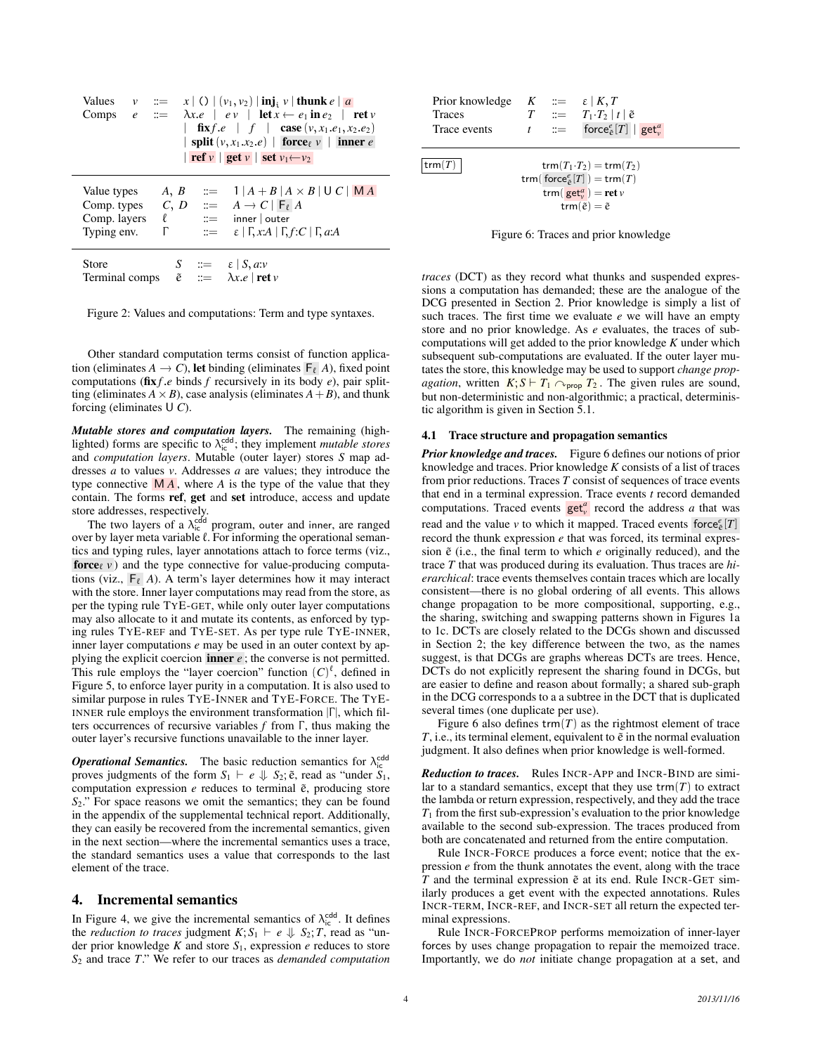| Values<br>Comps                                                      | $v$ $::=$<br>$e$ ::= | x   () $  (v_1, v_2)  $ inj, v   thunk e   a<br>$\lambda x.e$   ev   let $x \leftarrow e_1$ in $e_2$   ret v<br><b>fix</b> $f.e$   $f$   <b>case</b> $(v, x_1, e_1, x_2, e_2)$<br>  split $(v, x_1.x_2.e)$   force <sub><math>\ell</math></sub> $\nu$   inner <i>e</i><br>ref v   get v   set $v_1 \leftarrow v_2$ |
|----------------------------------------------------------------------|----------------------|--------------------------------------------------------------------------------------------------------------------------------------------------------------------------------------------------------------------------------------------------------------------------------------------------------------------|
| Value types<br>Comp. layers<br>Typing env.                           | A, B<br>$\ell$<br>Г  | $\therefore$ = 1   A + B   A × B   U C   M A<br>Comp. types $C, D ::= A \rightarrow C   F_{\ell} A$<br>$\dddot{=}$ inner   outer<br>$\equiv \epsilon   \Gamma, x : A   \Gamma, f : C   \Gamma, a : A$                                                                                                              |
| <b>Store</b><br>Terminal comps $\tilde{e}$ ::= $\lambda x.e$   ret v |                      | $S \cong \mathcal{E} \mid S, a; v$                                                                                                                                                                                                                                                                                 |

Figure 2: Values and computations: Term and type syntaxes.

Other standard computation terms consist of function application (eliminates  $A \to C$ ), let binding (eliminates  $F_{\ell}$  *A*), fixed point computations ( $fix f.e$  binds  $f$  recursively in its body  $e$ ), pair splitting (eliminates  $A \times B$ ), case analysis (eliminates  $A + B$ ), and thunk forcing (eliminates U *C*).

*Mutable stores and computation layers.* The remaining (highlighted) forms are specific to  $\lambda_{\text{ic}}^{\text{cdd}}$ ; they implement *mutable stores* and *computation layers*. Mutable (outer layer) stores *S* map addresses *a* to values *v*. Addresses *a* are values; they introduce the type connective  $MA$ , where *A* is the type of the value that they contain. The forms ref, get and set introduce, access and update store addresses, respectively.

The two layers of a  $\lambda_{ic}^{cdd}$  program, outer and inner, are ranged over by layer meta variable  $\ell$ . For informing the operational semantics and typing rules, layer annotations attach to force terms (viz., **force** $(v)$  and the type connective for value-producing computations (viz.,  $\mathsf{F}_{\ell}$  *A*). A term's layer determines how it may interact with the store. Inner layer computations may read from the store, as per the typing rule TYE-GET, while only outer layer computations may also allocate to it and mutate its contents, as enforced by typing rules TYE-REF and TYE-SET. As per type rule TYE-INNER, inner layer computations *e* may be used in an outer context by applying the explicit coercion inner *e* ; the converse is not permitted. This rule employs the "layer coercion" function  $(C)^{\ell}$ , defined in Figure 5, to enforce layer purity in a computation. It is also used to similar purpose in rules TYE-INNER and TYE-FORCE. The TYE-INNER rule employs the environment transformation  $|\Gamma|$ , which filters occurrences of recursive variables *f* from Γ, thus making the outer layer's recursive functions unavailable to the inner layer.

*Operational Semantics.* The basic reduction semantics for  $\lambda_{\rm ic}^{\rm cdd}$ proves judgments of the form  $S_1 \vdash e \Downarrow S_2$ ;  $\tilde{e}$ , read as "under  $S_1$ , computation expression *e* reduces to terminal  $\tilde{e}$ , producing store *S*2." For space reasons we omit the semantics; they can be found in the appendix of the supplemental technical report. Additionally, they can easily be recovered from the incremental semantics, given in the next section—where the incremental semantics uses a trace, the standard semantics uses a value that corresponds to the last element of the trace.

#### 4. Incremental semantics

In Figure 4, we give the incremental semantics of  $\lambda_{\text{ic}}^{\text{cdd}}$ . It defines the *reduction to traces* judgment  $K; S_1 \vdash e \Downarrow S_2; T$ , read as "under prior knowledge  $K$  and store  $S_1$ , expression  $e$  reduces to store *S*<sup>2</sup> and trace *T*." We refer to our traces as *demanded computation*

| Prior knowledge $K := \varepsilon   K, T$<br><b>Traces</b><br>Trace events                                                                                                     |  |  | $T \quad ::= \quad T_1 \cdot T_2 \mid t \mid \tilde{e}$<br>$t$ := force $\int_{\tilde{e}}^{e}[T]$   get <sup>a</sup> |  |  |  |
|--------------------------------------------------------------------------------------------------------------------------------------------------------------------------------|--|--|----------------------------------------------------------------------------------------------------------------------|--|--|--|
| $\mathsf{trm}(T)$<br>$\text{trm}(T_1 \cdot T_2) = \text{trm}(T_2)$<br>trm( $force^e_{\delta}[T]$ ) = trm(T)<br>trm( $get_v^a$ ) = ret v<br>$\text{trm}(\tilde{e}) = \tilde{e}$ |  |  |                                                                                                                      |  |  |  |

Figure 6: Traces and prior knowledge

*traces* (DCT) as they record what thunks and suspended expressions a computation has demanded; these are the analogue of the DCG presented in Section 2. Prior knowledge is simply a list of such traces. The first time we evaluate *e* we will have an empty store and no prior knowledge. As *e* evaluates, the traces of subcomputations will get added to the prior knowledge *K* under which subsequent sub-computations are evaluated. If the outer layer mutates the store, this knowledge may be used to support *change propagation*, written  $K; S \vdash T_1 \curvearrowright_{prop} T_2$ . The given rules are sound, but non-deterministic and non-algorithmic; a practical, deterministic algorithm is given in Section 5.1.

#### 4.1 Trace structure and propagation semantics

*Prior knowledge and traces.* Figure 6 defines our notions of prior knowledge and traces. Prior knowledge *K* consists of a list of traces from prior reductions. Traces *T* consist of sequences of trace events that end in a terminal expression. Trace events *t* record demanded computations. Traced events  $\text{get}_{\nu}^{\alpha}$  record the address *a* that was read and the value *v* to which it mapped. Traced events  $\left| \text{force}_{\tilde{e}}^e[T] \right|$ record the thunk expression *e* that was forced, its terminal expression  $\tilde{e}$  (i.e., the final term to which  $e$  originally reduced), and the trace *T* that was produced during its evaluation. Thus traces are *hierarchical*: trace events themselves contain traces which are locally consistent—there is no global ordering of all events. This allows change propagation to be more compositional, supporting, e.g., the sharing, switching and swapping patterns shown in Figures 1a to 1c. DCTs are closely related to the DCGs shown and discussed in Section 2; the key difference between the two, as the names suggest, is that DCGs are graphs whereas DCTs are trees. Hence, DCTs do not explicitly represent the sharing found in DCGs, but are easier to define and reason about formally; a shared sub-graph in the DCG corresponds to a a subtree in the DCT that is duplicated several times (one duplicate per use).

Figure 6 also defines  $\text{trm}(T)$  as the rightmost element of trace  $T$ , i.e., its terminal element, equivalent to  $\tilde{e}$  in the normal evaluation judgment. It also defines when prior knowledge is well-formed.

*Reduction to traces.* Rules INCR-APP and INCR-BIND are similar to a standard semantics, except that they use  $\text{trm}(T)$  to extract the lambda or return expression, respectively, and they add the trace  $T_1$  from the first sub-expression's evaluation to the prior knowledge available to the second sub-expression. The traces produced from both are concatenated and returned from the entire computation.

Rule INCR-FORCE produces a force event; notice that the expression *e* from the thunk annotates the event, along with the trace  $T$  and the terminal expression  $\tilde{e}$  at its end. Rule INCR-GET similarly produces a get event with the expected annotations. Rules INCR-TERM, INCR-REF, and INCR-SET all return the expected terminal expressions.

Rule INCR-FORCEPROP performs memoization of inner-layer forces by uses change propagation to repair the memoized trace. Importantly, we do *not* initiate change propagation at a set, and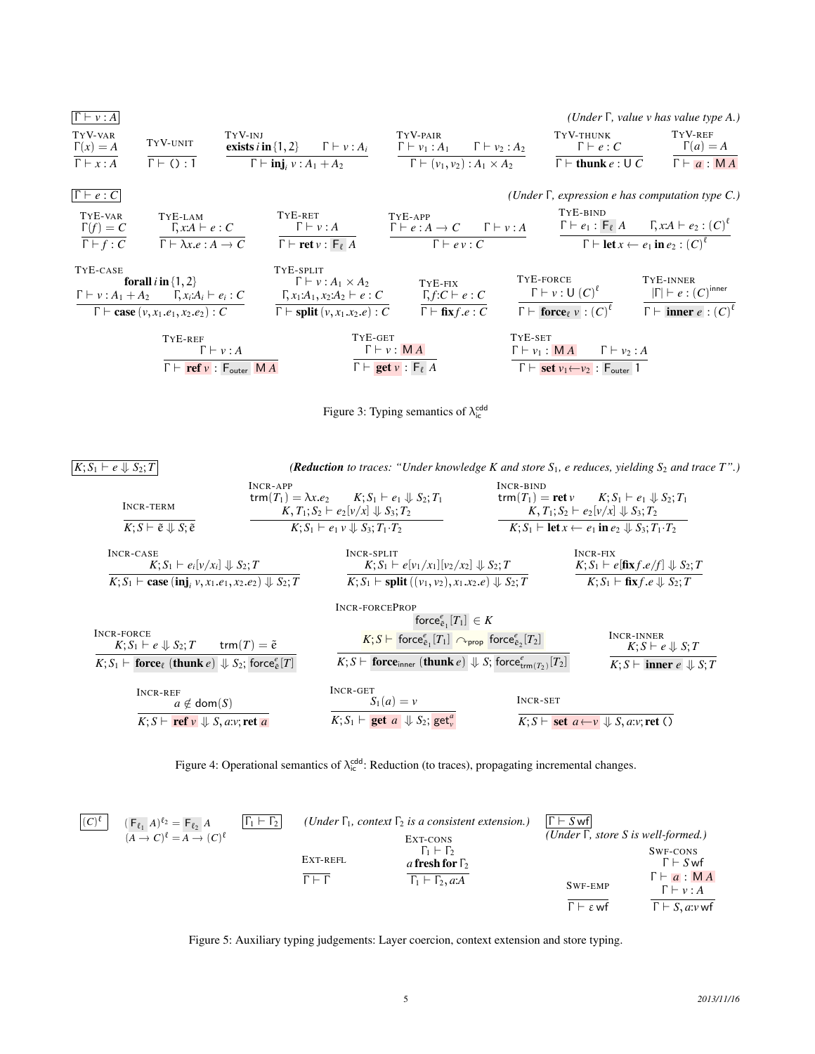| $\Gamma \vdash v : A$                     |                                                                                                                      |                                                                                 |                                                                                                                             |                                                                          |         |                                                                                                                                  | (Under $\Gamma$ , value v has value type A.)                                                   |
|-------------------------------------------|----------------------------------------------------------------------------------------------------------------------|---------------------------------------------------------------------------------|-----------------------------------------------------------------------------------------------------------------------------|--------------------------------------------------------------------------|---------|----------------------------------------------------------------------------------------------------------------------------------|------------------------------------------------------------------------------------------------|
| TYV-VAR<br>$\Gamma(x) = A$                | TYV-UNIT                                                                                                             | TYV-INJ<br>exists $i$ in $\{1, 2\}$                                             | $\Gamma \vdash v : A_i$                                                                                                     | TYV-PAIR<br>$\Gamma \vdash v_1 : A_1 \qquad \Gamma \vdash v_2 : A_2$     |         | TYV-THUNK<br>$\Gamma \vdash e : C$                                                                                               | TYV-REF<br>$\Gamma(a) = A$                                                                     |
| $\Gamma \vdash x : A$                     | $\Gamma$ $\vdash$ () : 1                                                                                             | $\Gamma \vdash \mathbf{inj}, v : A_1 + A_2$                                     |                                                                                                                             | $\Gamma \vdash (\nu_1, \nu_2) : A_1 \times A_2$                          |         | $\Gamma \vdash$ thunk $e : \cup C$                                                                                               | $\Gamma \vdash a : MA$                                                                         |
| $ \overline{\Gamma \vdash e : C} $        |                                                                                                                      |                                                                                 |                                                                                                                             |                                                                          |         | (Under $\Gamma$ , expression e has computation type $C$ .)                                                                       |                                                                                                |
| TYE-VAR<br>$\Gamma(f) = C$                | TYE-LAM<br>$\Gamma$ , $x:A \vdash e : C$                                                                             | TYE-RET                                                                         | $\Gamma \vdash v : A$                                                                                                       | TYE-APP<br>$\Gamma \vdash e : A \rightarrow C$ $\Gamma \vdash v : A$     |         | TYE-BIND<br>$\Gamma \vdash e_1 : \mathsf{F}_{\ell} A$                                                                            | $\Gamma, x A \vdash e_2 : (C)^{\ell}$                                                          |
| $\Gamma \vdash f : C$                     | $\Gamma \vdash \lambda x.e : A \rightarrow C$                                                                        |                                                                                 | $\Gamma \vdash \text{ret } v : \mathsf{F}_{\ell} A$                                                                         | $\Gamma \vdash e \nu : C$                                                |         |                                                                                                                                  | $\Gamma \vdash \textbf{let } x \leftarrow e_1 \textbf{ in } e_2 : (C)^{\ell}$                  |
| TYE-CASE<br>$\Gamma \vdash v : A_1 + A_2$ | for all i in $\{1, 2\}$<br>$\Gamma_i x_i A_i \vdash e_i : C$<br>$\overline{\Gamma}$ case $(v, x_1.e_1, x_2.e_2)$ : C | TYE-SPLIT                                                                       | $\Gamma \vdash v : A_1 \times A_2$<br>$\Gamma, x_1:A_1, x_2:A_2 \vdash e : C$<br>$\Gamma \vdash$ split $(v, x_1.x_2.e) : C$ | TYE-FIX<br>$\Gamma, f:C \vdash e:C$<br>$\Gamma$ $\vdash$ fix $f.e$ : $C$ |         | TYE-FORCE<br>$\Gamma \vdash v : U(C)^{\ell}$<br>$\Gamma \vdash$ force $v : (C)^{\ell}$                                           | TYE-INNER<br>$ \Gamma  \vdash e : (C)$ <sup>inner</sup><br>$\Gamma$ + inner $e$ : $(C)^{\ell}$ |
|                                           | TYE-REF                                                                                                              | $\Gamma \vdash v : A$<br>$\Gamma \vdash \textbf{ref } v : F_{\text{outer}} M A$ | TYE-GET                                                                                                                     | $\Gamma \vdash v : MA$<br>$\Gamma \vdash \textbf{get } v : F_{\ell} A$   | TYE-SET | $\Gamma \vdash v_1 : \mathsf{M} A$<br>$\Gamma \vdash v_2 : A$<br>$\Gamma \vdash$ set $v_1 \leftarrow v_2$ : $F_{\text{outer}}$ 1 |                                                                                                |



 $K; S_1 \vdash e \Downarrow S_2; T$  (Reduction *to traces: "Under knowledge K and store S<sub>1</sub>, e reduces, yielding S<sub>2</sub> <i>and trace T".*)

INCR-TERM  $K; S \vdash \tilde{e} \Downarrow S; \tilde{e}$ INCR-APP $\mathsf{trm}(T_1) = \lambda x.e_2$  $\tan(T_1) = \lambda x.e_2$   $K; S_1 \vdash e_1 \Downarrow S_2; T_1$ <br> $K, T, S \vdash e_2$  [ $x/x$ ]  $\parallel S, T$  $K, T_1; S_2 \vdash e_2[v/x] \Downarrow S_3; T_2$  $K; S_1 \vdash e_1 \vee \Downarrow S_3; T_1 \cdot T_2$ INCR-BIND  $\text{trm}(T_1) = \text{ret } v$   $K; S_1 \vdash e_1 \Downarrow S_2; T_1$ <br> $K, T, S \vdash e_2 \vdash v \cup z \vdash S, T$  $K, T_1; S_2 \vdash e_2[v/x] \Downarrow S_3; T_2$  $K; S_1 \vdash \textbf{let } x \leftarrow e_1 \textbf{ in } e_2 \Downarrow S_3; T_1 \cdot T_2$ INCR-CASE<br> $K; S_1 \vdash e_i[\nu/x_i] \Downarrow S_2; T$  $K; S_1 \vdash \textbf{case} (\textbf{inj}_i \ v, x_1.e_1, x_2.e_2) \Downarrow S_2; T$  $K; S_1 \vdash e[v_1/x_1][v_2/x_2] \Downarrow S_2; T$  $K; S_1 \vdash \textbf{split}((v_1, v_2), x_1.x_2.e) \Downarrow S_2; T$  $K; S_1 \vdash e[\mathbf{fix} f.e/f] \Downarrow S_2; T$ <br> $\overline{K; S_1 \vdash e[\mathbf{fix} f.e/f]} \Downarrow S_2; T$  $K; S_1 \vdash \mathbf{fix} f.e \Downarrow S_2; T$ INCR-FORCE  $K; S_1 \vdash e \Downarrow S_2; T \quad \text{trm}(T) = \tilde{e}$  $K; S_1 \vdash$  **force**<sub> $\ell$ </sub> (**thunk**  $e) \Downarrow S_2$ ; force<sub> $\ell$ </sub><sup>e</sup> $[T]$ INCR-FORCEPROP  $\text{force}^e_{\tilde{e}_1}[T_1] \in K$  $\tilde{e}_1$  $K; S \vdash \left \lceil \mathsf{force}^e_{\bar{e}_1}[T_1] \right \rceil \curvearrowright_{\mathsf{prop}} \left \lceil \mathsf{force}^e_{\bar{e}_2}[T_2] \right \rceil$  $K; S \vdash$  **force**<sub>inner</sub> (**thunk** *e*)  $\Downarrow$  *S*; force<sub></sub><sup>e</sup><sub>*trm*(*T*<sub>2</sub>)</sub>[*T*<sub>2</sub>]  $K; S \vdash e \Downarrow S; T$  $K; S \vdash$  **inner**  $e \Downarrow S; T$ INCR-REF  $a \notin \text{dom}(S)$  $K; S \vdash \textbf{ref } v \Downarrow S$ , *a*:*v*; ret *a* INCR-GET  $S_1(a) = v$  $K; S_1 \vdash \textbf{get } a \Downarrow S_2; \textbf{get}_v^a$ INCR-SET  $K; S \vdash$  **set**  $a \leftarrow v \Downarrow S$ , *a*:*v*; **ret** ()

Figure 4: Operational semantics of  $\lambda_{ic}^{cdd}$ : Reduction (to traces), propagating incremental changes.



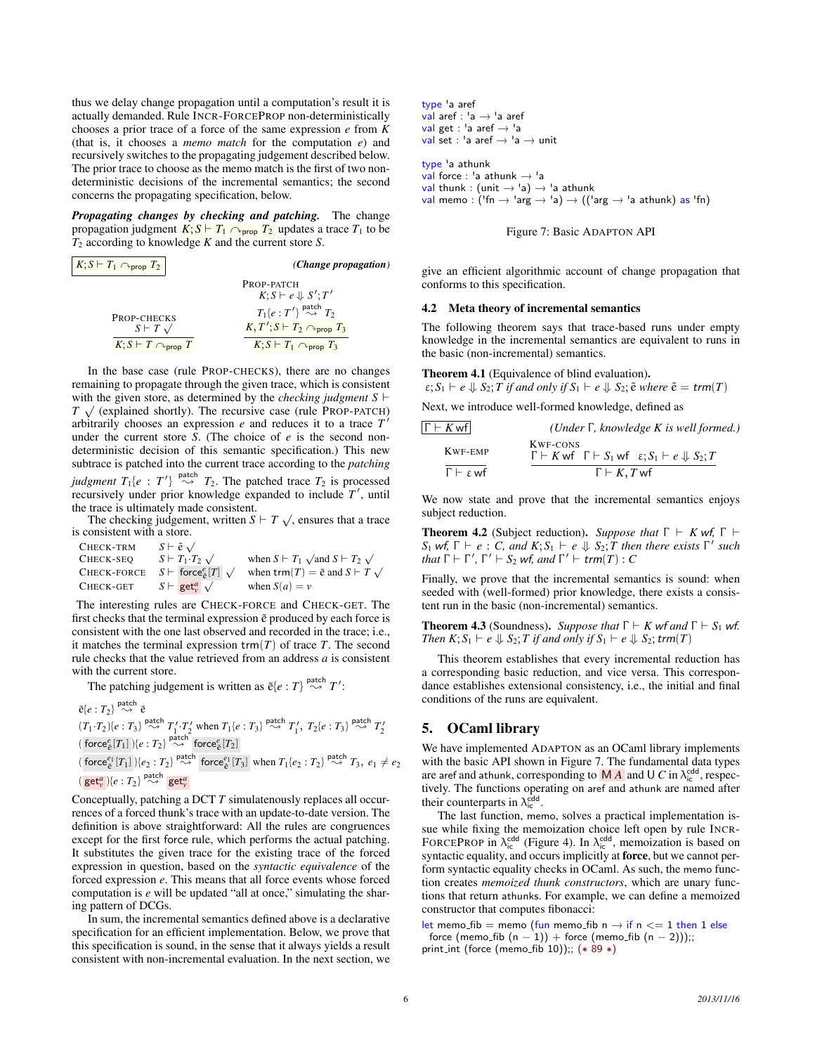thus we delay change propagation until a computation's result it is actually demanded. Rule INCR-FORCEPROP non-deterministically chooses a prior trace of a force of the same expression *e* from *K* (that is, it chooses a *memo match* for the computation *e*) and recursively switches to the propagating judgement described below. The prior trace to choose as the memo match is the first of two nondeterministic decisions of the incremental semantics; the second concerns the propagating specification, below.

*Propagating changes by checking and patching.* The change propagation judgment  $K; S \vdash T_1 \curvearrowright_{prop} T_2$  updates a trace  $T_1$  to be *T*<sup>2</sup> according to knowledge *K* and the current store *S*.

| $K; S \vdash T_1 \curvearrowright$ prop $T_2$ | <i>(Change propagation)</i>                       |  |  |
|-----------------------------------------------|---------------------------------------------------|--|--|
|                                               | PROP-PATCH                                        |  |  |
|                                               | $K; S \vdash e \Downarrow S'; T'$                 |  |  |
| PROP-CHECKS                                   | $T_1\{e:T'\}\stackrel{\text{patch}}{\sim} T_2$    |  |  |
| $S \vdash T \sqrt{ }$                         | $K, T'; S \vdash T_2 \curvearrowright$ prop $T_3$ |  |  |
| $K; S \vdash T \cap_{\text{prop}} T$          | $K; S \vdash T_1 \curvearrowright$ prop $T_3$     |  |  |

In the base case (rule PROP-CHECKS), there are no changes remaining to propagate through the given trace, which is consistent with the given store, as determined by the *checking judgment*  $S \vdash$  $T \sqrt{ }$  (explained shortly). The recursive case (rule PROP-PATCH) arbitrarily chooses an expression  $e$  and reduces it to a trace  $T'$ under the current store *S*. (The choice of *e* is the second nondeterministic decision of this semantic specification.) This new subtrace is patched into the current trace according to the *patching judgment*  $T_1\{e : T'\} \stackrel{\text{patch}}{\sim} T_2$ . The patched trace  $T_2$  is processed recursively under prior knowledge expanded to include  $T'$ , until the trace is ultimately made consistent.

trace is ultimately made consistent.<br>The checking judgement, written  $S \vdash T \sqrt{ }$ , ensures that a trace is consistent with a store.

 $CHECK-TRM$  $S \vdash \tilde{e}$  √  $C$ HECK-SEQ  $S \vdash T_1 \dot{T}_2 \sqrt{ }$ when  $S \vdash T_1 \sqrt{\text{and } S \vdash T_2} \sqrt{\text{and } S \vdash T_3}$ CHECK-FORCE  $S \vdash \text{force}_{\tilde{e}}^e[T] \sqrt{2}$ when  $\text{trm}(T) = \tilde{e}$  and  $S \vdash T \sqrt{ }$  $CHECK-GET$ *v* √ when  $S(a) = v$ 

The interesting rules are CHECK-FORCE and CHECK-GET. The first checks that the terminal expression  $\tilde{e}$  produced by each force is consistent with the one last observed and recorded in the trace; i.e., it matches the terminal expression  $\text{trm}(T)$  of trace *T*. The second rule checks that the value retrieved from an address *a* is consistent with the current store.

The patching judgement is written as  $\tilde{e} \{e : T\} \stackrel{\text{patch}}{\sim} T'$ :

$$
\tilde{e}\{e:T_2\} \stackrel{\text{patch}}{\rightsquigarrow} \tilde{e}
$$
\n
$$
(T_1 \cdot T_2)\{e:T_3\} \stackrel{\text{patch}}{\rightsquigarrow} T_1' \cdot T_2' \text{ when } T_1\{e:T_3\} \stackrel{\text{patch}}{\rightsquigarrow} T_1', T_2\{e:T_3\} \stackrel{\text{patch}}{\rightsquigarrow} T_2'
$$
\n
$$
(\text{force}^e_{\tilde{e}}[T_1])\{e:T_2\} \stackrel{\text{patch}}{\rightsquigarrow} \text{force}^e_{\tilde{e}}[T_2]
$$
\n
$$
(\text{force}^{e_1}_{\tilde{e}}[T_1])\{e_2:T_2\} \stackrel{\text{patch}}{\rightsquigarrow} \text{force}^{e_1}_{\tilde{e}}[T_3] \text{ when } T_1\{e_2:T_2\} \stackrel{\text{patch}}{\rightsquigarrow} T_3, e_1 \neq e_2
$$
\n
$$
(\text{get}^e_{\mathbf{e}})\{e:T_2\} \stackrel{\text{patch}}{\rightsquigarrow} \text{get}^e_{\mathbf{e}'}
$$

Conceptually, patching a DCT *T* simulatenously replaces all occurrences of a forced thunk's trace with an update-to-date version. The definition is above straightforward: All the rules are congruences except for the first force rule, which performs the actual patching. It substitutes the given trace for the existing trace of the forced expression in question, based on the *syntactic equivalence* of the forced expression *e*. This means that all force events whose forced computation is *e* will be updated "all at once," simulating the sharing pattern of DCGs.

In sum, the incremental semantics defined above is a declarative specification for an efficient implementation. Below, we prove that this specification is sound, in the sense that it always yields a result consistent with non-incremental evaluation. In the next section, we

```
type 'a aref
val aref : a \rightarrow b a aref
val get : 'a aref \rightarrow 'a
val set : 'a aref \rightarrow 'a \rightarrow unit
type 'a athunk
val force : 'a athunk \rightarrow 'a
val thunk : (unit \rightarrow 'a) \rightarrow 'a athunk
val memo : ('fn \rightarrow 'arg \rightarrow 'a) \rightarrow (('arg \rightarrow 'a athunk) as 'fn)
```
Figure 7: Basic ADAPTON API

give an efficient algorithmic account of change propagation that conforms to this specification.

#### 4.2 Meta theory of incremental semantics

The following theorem says that trace-based runs under empty knowledge in the incremental semantics are equivalent to runs in the basic (non-incremental) semantics.

Theorem 4.1 (Equivalence of blind evaluation).  $\varepsilon$ ;  $S_1 \vdash e \Downarrow S_2$ ; *T* if and only if  $S_1 \vdash e \Downarrow S_2$ ;  $\tilde{e}$  where  $\tilde{e} = \text{trm}(T)$ 

Next, we introduce well-formed knowledge, defined as

| $ \Gamma \vdash K$ wf          | (Under $\Gamma$ , knowledge K is well formed.)                                                        |
|--------------------------------|-------------------------------------------------------------------------------------------------------|
| KWF-EMP                        | KWF-CONS<br>$\Gamma \vdash K$ wf $\Gamma \vdash S_1$ wf $\varepsilon; S_1 \vdash e \Downarrow S_2; T$ |
| $\Gamma \vdash \varepsilon$ wf | $\Gamma \vdash K$ , T wf                                                                              |

We now state and prove that the incremental semantics enjoys subject reduction.

**Theorem 4.2** (Subject reduction). *Suppose that*  $\Gamma \vdash K$  wf,  $\Gamma \vdash$ *S*<sub>1</sub> wf,  $\Gamma \vdash e : C$ , and  $K; S_1 \vdash e \Downarrow S_2; T$  then there exists  $\Gamma'$  such that  $\Gamma \vdash \Gamma' \vdash S$ , wf, and  $\Gamma' \vdash \text{trm}(T) : C$ *that*  $\Gamma \vdash \Gamma'$ ,  $\Gamma' \vdash S_2$  wf, and  $\Gamma' \vdash \mathsf{trm}(T) : C$ 

Finally, we prove that the incremental semantics is sound: when seeded with (well-formed) prior knowledge, there exists a consistent run in the basic (non-incremental) semantics.

**Theorem 4.3** (Soundness). *Suppose that*  $\Gamma \vdash K$  *wf and*  $\Gamma \vdash S_1$  *wf. Then*  $K; S_1 \vdash e \Downarrow S_2; T$  *if and only if*  $S_1 \vdash e \Downarrow S_2;$  *trm* $(T)$ 

This theorem establishes that every incremental reduction has a corresponding basic reduction, and vice versa. This correspondance establishes extensional consistency, i.e., the initial and final conditions of the runs are equivalent.

## 5. OCaml library

We have implemented ADAPTON as an OCaml library implements with the basic API shown in Figure 7. The fundamental data types are aref and athunk, corresponding to  $\overline{M}A$  and U *C* in  $\lambda_{ic}^{\text{cdd}}$ , respectively. The functions operating on aref and athunk are named after their counterparts in  $\lambda_{\text{ic}}^{\text{cdd}}$ .

The last function, memo, solves a practical implementation issue while fixing the memoization choice left open by rule INCR-FORCEPROP in  $\lambda_{ic}^{\text{cdd}}$  (Figure 4). In  $\lambda_{ic}^{\text{cdd}}$ , memoization is based on syntactic equality, and occurs implicitly at force, but we cannot perform syntactic equality checks in OCaml. As such, the memo function creates *memoized thunk constructors*, which are unary functions that return athunks. For example, we can define a memoized constructor that computes fibonacci:

let memo\_fib = memo (fun memo\_fib n  $\rightarrow$  if n  $\lt = 1$  then 1 else force (memo\_fib  $(n - 1)$ ) + force (memo\_fib  $(n - 2)$ ));; print\_int (force (memo\_fib 10));;  $(* 89 *)$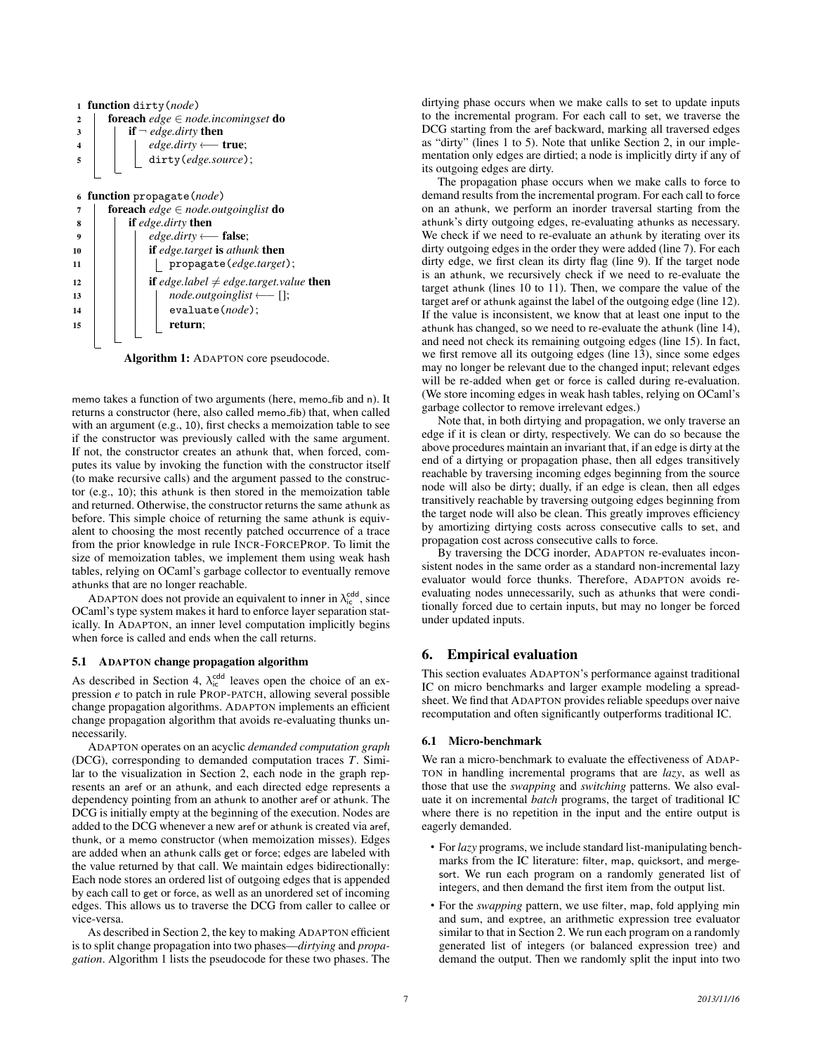

Algorithm 1: ADAPTON core pseudocode.

memo takes a function of two arguments (here, memo fib and n). It returns a constructor (here, also called memo fib) that, when called with an argument (e.g., 10), first checks a memoization table to see if the constructor was previously called with the same argument. If not, the constructor creates an athunk that, when forced, computes its value by invoking the function with the constructor itself (to make recursive calls) and the argument passed to the constructor (e.g., 10); this athunk is then stored in the memoization table and returned. Otherwise, the constructor returns the same athunk as before. This simple choice of returning the same athunk is equivalent to choosing the most recently patched occurrence of a trace from the prior knowledge in rule INCR-FORCEPROP. To limit the size of memoization tables, we implement them using weak hash tables, relying on OCaml's garbage collector to eventually remove athunks that are no longer reachable.

ADAPTON does not provide an equivalent to inner in  $\lambda_{\rm ic}^{\rm cdd}$ , since OCaml's type system makes it hard to enforce layer separation statically. In ADAPTON, an inner level computation implicitly begins when force is called and ends when the call returns.

#### 5.1 ADAPTON change propagation algorithm

As described in Section 4,  $\lambda_{\rm ic}^{\rm cdd}$  leaves open the choice of an expression *e* to patch in rule PROP-PATCH, allowing several possible change propagation algorithms. ADAPTON implements an efficient change propagation algorithm that avoids re-evaluating thunks unnecessarily.

ADAPTON operates on an acyclic *demanded computation graph* (DCG), corresponding to demanded computation traces *T*. Similar to the visualization in Section 2, each node in the graph represents an aref or an athunk, and each directed edge represents a dependency pointing from an athunk to another aref or athunk. The DCG is initially empty at the beginning of the execution. Nodes are added to the DCG whenever a new aref or athunk is created via aref, thunk, or a memo constructor (when memoization misses). Edges are added when an athunk calls get or force; edges are labeled with the value returned by that call. We maintain edges bidirectionally: Each node stores an ordered list of outgoing edges that is appended by each call to get or force, as well as an unordered set of incoming edges. This allows us to traverse the DCG from caller to callee or vice-versa.

As described in Section 2, the key to making ADAPTON efficient is to split change propagation into two phases—*dirtying* and *propagation*. Algorithm 1 lists the pseudocode for these two phases. The dirtying phase occurs when we make calls to set to update inputs to the incremental program. For each call to set, we traverse the DCG starting from the aref backward, marking all traversed edges as "dirty" (lines 1 to 5). Note that unlike Section 2, in our implementation only edges are dirtied; a node is implicitly dirty if any of its outgoing edges are dirty.

The propagation phase occurs when we make calls to force to demand results from the incremental program. For each call to force on an athunk, we perform an inorder traversal starting from the athunk's dirty outgoing edges, re-evaluating athunks as necessary. We check if we need to re-evaluate an athunk by iterating over its dirty outgoing edges in the order they were added (line 7). For each dirty edge, we first clean its dirty flag (line 9). If the target node is an athunk, we recursively check if we need to re-evaluate the target athunk (lines 10 to 11). Then, we compare the value of the target aref or athunk against the label of the outgoing edge (line 12). If the value is inconsistent, we know that at least one input to the athunk has changed, so we need to re-evaluate the athunk (line 14), and need not check its remaining outgoing edges (line 15). In fact, we first remove all its outgoing edges (line 13), since some edges may no longer be relevant due to the changed input; relevant edges will be re-added when get or force is called during re-evaluation. (We store incoming edges in weak hash tables, relying on OCaml's garbage collector to remove irrelevant edges.)

Note that, in both dirtying and propagation, we only traverse an edge if it is clean or dirty, respectively. We can do so because the above procedures maintain an invariant that, if an edge is dirty at the end of a dirtying or propagation phase, then all edges transitively reachable by traversing incoming edges beginning from the source node will also be dirty; dually, if an edge is clean, then all edges transitively reachable by traversing outgoing edges beginning from the target node will also be clean. This greatly improves efficiency by amortizing dirtying costs across consecutive calls to set, and propagation cost across consecutive calls to force.

By traversing the DCG inorder, ADAPTON re-evaluates inconsistent nodes in the same order as a standard non-incremental lazy evaluator would force thunks. Therefore, ADAPTON avoids reevaluating nodes unnecessarily, such as athunks that were conditionally forced due to certain inputs, but may no longer be forced under updated inputs.

## 6. Empirical evaluation

This section evaluates ADAPTON's performance against traditional IC on micro benchmarks and larger example modeling a spreadsheet. We find that ADAPTON provides reliable speedups over naive recomputation and often significantly outperforms traditional IC.

#### 6.1 Micro-benchmark

We ran a micro-benchmark to evaluate the effectiveness of ADAP-TON in handling incremental programs that are *lazy*, as well as those that use the *swapping* and *switching* patterns. We also evaluate it on incremental *batch* programs, the target of traditional IC where there is no repetition in the input and the entire output is eagerly demanded.

- For *lazy* programs, we include standard list-manipulating benchmarks from the IC literature: filter, map, quicksort, and mergesort. We run each program on a randomly generated list of integers, and then demand the first item from the output list.
- For the *swapping* pattern, we use filter, map, fold applying min and sum, and exptree, an arithmetic expression tree evaluator similar to that in Section 2. We run each program on a randomly generated list of integers (or balanced expression tree) and demand the output. Then we randomly split the input into two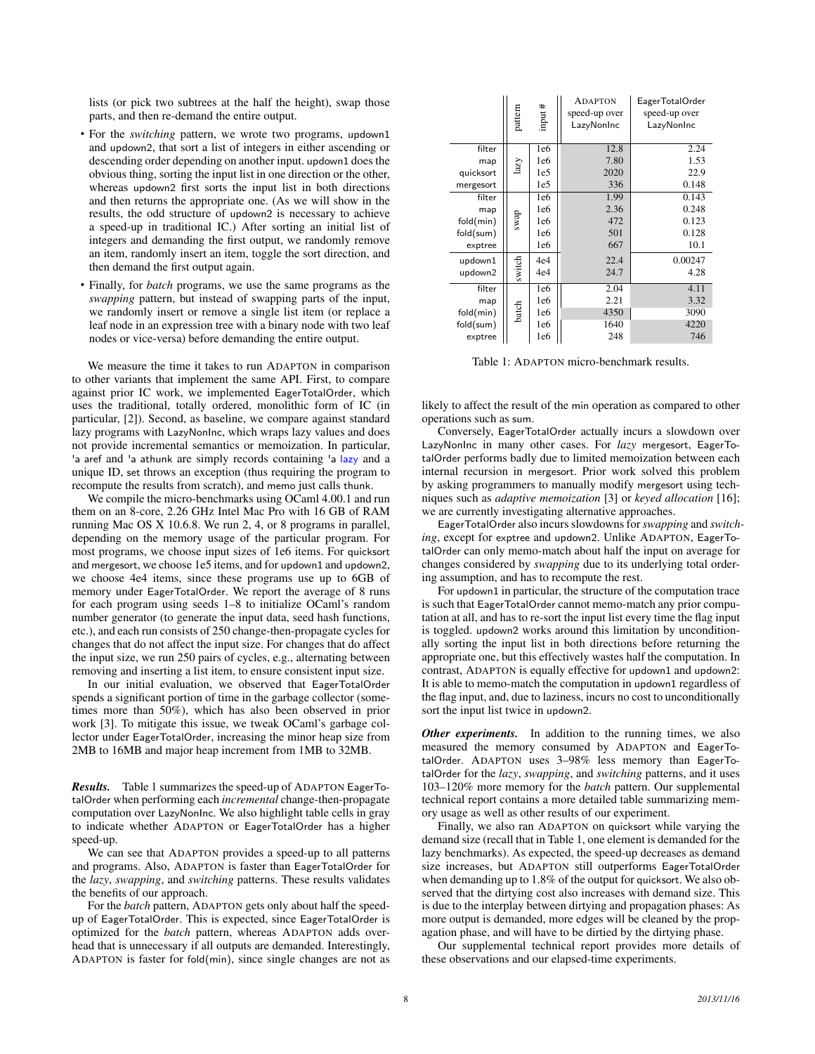lists (or pick two subtrees at the half the height), swap those parts, and then re-demand the entire output.

- For the *switching* pattern, we wrote two programs, updown1 and updown2, that sort a list of integers in either ascending or descending order depending on another input. updown1 does the obvious thing, sorting the input list in one direction or the other, whereas updown2 first sorts the input list in both directions and then returns the appropriate one. (As we will show in the results, the odd structure of updown2 is necessary to achieve a speed-up in traditional IC.) After sorting an initial list of integers and demanding the first output, we randomly remove an item, randomly insert an item, toggle the sort direction, and then demand the first output again.
- Finally, for *batch* programs, we use the same programs as the *swapping* pattern, but instead of swapping parts of the input, we randomly insert or remove a single list item (or replace a leaf node in an expression tree with a binary node with two leaf nodes or vice-versa) before demanding the entire output.

We measure the time it takes to run ADAPTON in comparison to other variants that implement the same API. First, to compare against prior IC work, we implemented EagerTotalOrder, which uses the traditional, totally ordered, monolithic form of IC (in particular, [2]). Second, as baseline, we compare against standard lazy programs with LazyNonInc, which wraps lazy values and does not provide incremental semantics or memoization. In particular, 'a aref and 'a athunk are simply records containing 'a lazy and a unique ID, set throws an exception (thus requiring the program to recompute the results from scratch), and memo just calls thunk.

We compile the micro-benchmarks using OCaml 4.00.1 and run them on an 8-core, 2.26 GHz Intel Mac Pro with 16 GB of RAM running Mac OS X 10.6.8. We run 2, 4, or 8 programs in parallel, depending on the memory usage of the particular program. For most programs, we choose input sizes of 1e6 items. For quicksort and mergesort, we choose 1e5 items, and for updown1 and updown2, we choose 4e4 items, since these programs use up to 6GB of memory under EagerTotalOrder. We report the average of 8 runs for each program using seeds 1–8 to initialize OCaml's random number generator (to generate the input data, seed hash functions, etc.), and each run consists of 250 change-then-propagate cycles for changes that do not affect the input size. For changes that do affect the input size, we run 250 pairs of cycles, e.g., alternating between removing and inserting a list item, to ensure consistent input size.

In our initial evaluation, we observed that EagerTotalOrder spends a significant portion of time in the garbage collector (sometimes more than 50%), which has also been observed in prior work [3]. To mitigate this issue, we tweak OCaml's garbage collector under EagerTotalOrder, increasing the minor heap size from 2MB to 16MB and major heap increment from 1MB to 32MB.

*Results.* Table 1 summarizes the speed-up of ADAPTON EagerTotalOrder when performing each *incremental* change-then-propagate computation over LazyNonInc. We also highlight table cells in gray to indicate whether ADAPTON or EagerTotalOrder has a higher speed-up.

We can see that ADAPTON provides a speed-up to all patterns and programs. Also, ADAPTON is faster than EagerTotalOrder for the *lazy*, *swapping*, and *switching* patterns. These results validates the benefits of our approach.

For the *batch* pattern, ADAPTON gets only about half the speedup of EagerTotalOrder. This is expected, since EagerTotalOrder is optimized for the *batch* pattern, whereas ADAPTON adds overhead that is unnecessary if all outputs are demanded. Interestingly, ADAPTON is faster for fold(min), since single changes are not as

|           | pattern | input #         | <b>ADAPTON</b><br>speed-up over<br>LazyNonInc | EagerTotalOrder<br>speed-up over<br>LazyNonInc |
|-----------|---------|-----------------|-----------------------------------------------|------------------------------------------------|
| filter    |         | 1e6             | 12.8                                          | 2.24                                           |
| map       | lazy    | 1e6             | 7.80                                          | 1.53                                           |
| quicksort |         | 1e <sub>5</sub> | 2020                                          | 22.9                                           |
| mergesort |         | 1e <sub>5</sub> | 336                                           | 0.148                                          |
| filter    | swap    | 1e6             | 1.99                                          | 0.143                                          |
| map       |         | 1e6             | 2.36                                          | 0.248                                          |
| fold(min) |         | 1e6             | 472                                           | 0.123                                          |
| fold(sum) |         | 1e6             | 501                                           | 0.128                                          |
| exptree   |         | 1e6             | 667                                           | 10.1                                           |
| updown1   | switch  | 4e4             | 22.4                                          | 0.00247                                        |
| updown2   |         | 4e4             | 24.7                                          | 4.28                                           |
| filter    | batch   | 1e6             | 2.04                                          | 4.11                                           |
| map       |         | 1e6             | 2.21                                          | 3.32                                           |
| fold(min) |         | 1e6             | 4350                                          | 3090                                           |
| fold(sum) |         | 1e6             | 1640                                          | 4220                                           |
| exptree   |         | 1e6             | 248                                           | 746                                            |

Table 1: ADAPTON micro-benchmark results.

likely to affect the result of the min operation as compared to other operations such as sum.

Conversely, EagerTotalOrder actually incurs a slowdown over LazyNonInc in many other cases. For *lazy* mergesort, EagerTotalOrder performs badly due to limited memoization between each internal recursion in mergesort. Prior work solved this problem by asking programmers to manually modify mergesort using techniques such as *adaptive memoization* [3] or *keyed allocation* [16]; we are currently investigating alternative approaches.

EagerTotalOrder also incurs slowdowns for*swapping* and *switching*, except for exptree and updown2. Unlike ADAPTON, EagerTotalOrder can only memo-match about half the input on average for changes considered by *swapping* due to its underlying total ordering assumption, and has to recompute the rest.

For updown1 in particular, the structure of the computation trace is such that EagerTotalOrder cannot memo-match any prior computation at all, and has to re-sort the input list every time the flag input is toggled. updown2 works around this limitation by unconditionally sorting the input list in both directions before returning the appropriate one, but this effectively wastes half the computation. In contrast, ADAPTON is equally effective for updown1 and updown2: It is able to memo-match the computation in updown1 regardless of the flag input, and, due to laziness, incurs no cost to unconditionally sort the input list twice in updown2.

*Other experiments.* In addition to the running times, we also measured the memory consumed by ADAPTON and EagerTotalOrder. ADAPTON uses 3–98% less memory than EagerTotalOrder for the *lazy*, *swapping*, and *switching* patterns, and it uses 103–120% more memory for the *batch* pattern. Our supplemental technical report contains a more detailed table summarizing memory usage as well as other results of our experiment.

Finally, we also ran ADAPTON on quicksort while varying the demand size (recall that in Table 1, one element is demanded for the lazy benchmarks). As expected, the speed-up decreases as demand size increases, but ADAPTON still outperforms EagerTotalOrder when demanding up to 1.8% of the output for quicksort. We also observed that the dirtying cost also increases with demand size. This is due to the interplay between dirtying and propagation phases: As more output is demanded, more edges will be cleaned by the propagation phase, and will have to be dirtied by the dirtying phase.

Our supplemental technical report provides more details of these observations and our elapsed-time experiments.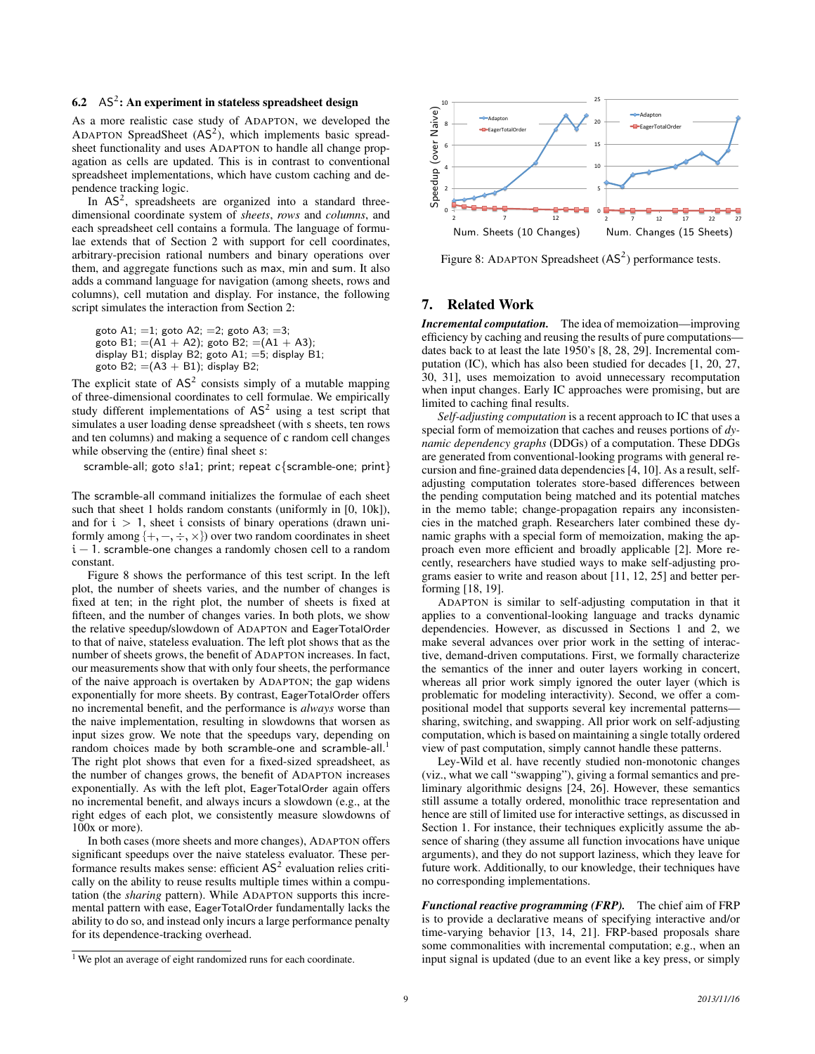# 6.2  $AS^2$ : An experiment in stateless spreadsheet design

As a more realistic case study of ADAPTON, we developed the ADAPTON SpreadSheet  $(AS^2)$ , which implements basic spreadsheet functionality and uses ADAPTON to handle all change propagation as cells are updated. This is in contrast to conventional spreadsheet implementations, which have custom caching and dependence tracking logic.

In  $AS<sup>2</sup>$ , spreadsheets are organized into a standard threedimensional coordinate system of *sheets*, *rows* and *columns*, and each spreadsheet cell contains a formula. The language of formulae extends that of Section 2 with support for cell coordinates, arbitrary-precision rational numbers and binary operations over them, and aggregate functions such as max, min and sum. It also adds a command language for navigation (among sheets, rows and columns), cell mutation and display. For instance, the following script simulates the interaction from Section 2:

goto A1;  $=1$ ; goto A2;  $=2$ ; goto A3;  $=3$ ; goto B1; =  $(A1 + A2)$ ; goto B2; =  $(A1 + A3)$ ; display B1; display B2; goto A1;  $=$ 5; display B1; goto B2;  $=(A3 + B1)$ ; display B2;

The explicit state of  $AS^2$  consists simply of a mutable mapping of three-dimensional coordinates to cell formulae. We empirically study different implementations of  $AS<sup>2</sup>$  using a test script that simulates a user loading dense spreadsheet (with s sheets, ten rows and ten columns) and making a sequence of c random cell changes while observing the (entire) final sheet s:

scramble-all; goto s!a1; print; repeat  $c$ {scramble-one; print}

The scramble-all command initializes the formulae of each sheet such that sheet 1 holds random constants (uniformly in [0, 10k]), and for  $i > 1$ , sheet i consists of binary operations (drawn uniformly among  $\{+,-,\div,\times\}$  over two random coordinates in sheet i − 1. scramble-one changes a randomly chosen cell to a random constant.

Figure 8 shows the performance of this test script. In the left plot, the number of sheets varies, and the number of changes is fixed at ten; in the right plot, the number of sheets is fixed at fifteen, and the number of changes varies. In both plots, we show the relative speedup/slowdown of ADAPTON and EagerTotalOrder to that of naive, stateless evaluation. The left plot shows that as the number of sheets grows, the benefit of ADAPTON increases. In fact, our measurements show that with only four sheets, the performance of the naive approach is overtaken by ADAPTON; the gap widens exponentially for more sheets. By contrast, EagerTotalOrder offers no incremental benefit, and the performance is *always* worse than the naive implementation, resulting in slowdowns that worsen as input sizes grow. We note that the speedups vary, depending on random choices made by both scramble-one and scramble-all.<sup>1</sup> The right plot shows that even for a fixed-sized spreadsheet, as the number of changes grows, the benefit of ADAPTON increases exponentially. As with the left plot, EagerTotalOrder again offers no incremental benefit, and always incurs a slowdown (e.g., at the right edges of each plot, we consistently measure slowdowns of 100x or more).

In both cases (more sheets and more changes), ADAPTON offers significant speedups over the naive stateless evaluator. These performance results makes sense: efficient  $AS<sup>2</sup>$  evaluation relies critically on the ability to reuse results multiple times within a computation (the *sharing* pattern). While ADAPTON supports this incremental pattern with ease, EagerTotalOrder fundamentally lacks the ability to do so, and instead only incurs a large performance penalty for its dependence-tracking overhead.





Figure 8: ADAPTON Spreadsheet  $(AS<sup>2</sup>)$  performance tests.

## 7. Related Work

*Incremental computation.* The idea of memoization—improving efficiency by caching and reusing the results of pure computations dates back to at least the late 1950's [8, 28, 29]. Incremental computation (IC), which has also been studied for decades [1, 20, 27, 30, 31], uses memoization to avoid unnecessary recomputation when input changes. Early IC approaches were promising, but are limited to caching final results.

*Self-adjusting computation* is a recent approach to IC that uses a special form of memoization that caches and reuses portions of *dynamic dependency graphs* (DDGs) of a computation. These DDGs are generated from conventional-looking programs with general recursion and fine-grained data dependencies [4, 10]. As a result, selfadjusting computation tolerates store-based differences between the pending computation being matched and its potential matches in the memo table; change-propagation repairs any inconsistencies in the matched graph. Researchers later combined these dynamic graphs with a special form of memoization, making the approach even more efficient and broadly applicable [2]. More recently, researchers have studied ways to make self-adjusting programs easier to write and reason about [11, 12, 25] and better performing [18, 19].

ADAPTON is similar to self-adjusting computation in that it applies to a conventional-looking language and tracks dynamic dependencies. However, as discussed in Sections 1 and 2, we make several advances over prior work in the setting of interactive, demand-driven computations. First, we formally characterize the semantics of the inner and outer layers working in concert, whereas all prior work simply ignored the outer layer (which is problematic for modeling interactivity). Second, we offer a compositional model that supports several key incremental patterns sharing, switching, and swapping. All prior work on self-adjusting computation, which is based on maintaining a single totally ordered view of past computation, simply cannot handle these patterns.

Ley-Wild et al. have recently studied non-monotonic changes (viz., what we call "swapping"), giving a formal semantics and preliminary algorithmic designs [24, 26]. However, these semantics still assume a totally ordered, monolithic trace representation and hence are still of limited use for interactive settings, as discussed in Section 1. For instance, their techniques explicitly assume the absence of sharing (they assume all function invocations have unique arguments), and they do not support laziness, which they leave for future work. Additionally, to our knowledge, their techniques have no corresponding implementations.

*Functional reactive programming (FRP).* The chief aim of FRP is to provide a declarative means of specifying interactive and/or time-varying behavior [13, 14, 21]. FRP-based proposals share some commonalities with incremental computation; e.g., when an input signal is updated (due to an event like a key press, or simply